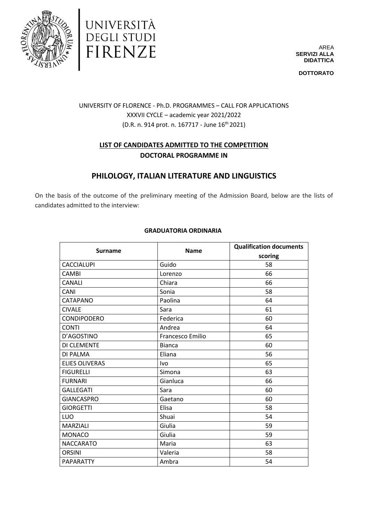



AREA **SERVIZI ALLA DIDATTICA**

**DOTTORATO**

## UNIVERSITY OF FLORENCE - Ph.D. PROGRAMMES – CALL FOR APPLICATIONS XXXVII CYCLE – academic year 2021/2022 (D.R. n. 914 prot. n. 167717 - June 16th 2021)

## **LIST OF CANDIDATES ADMITTED TO THE COMPETITION DOCTORAL PROGRAMME IN**

# **PHILOLOGY, ITALIAN LITERATURE AND LINGUISTICS**

On the basis of the outcome of the preliminary meeting of the Admission Board, below are the lists of candidates admitted to the interview:

| <b>Surname</b>        | <b>Name</b>             | <b>Qualification documents</b> |
|-----------------------|-------------------------|--------------------------------|
|                       |                         | scoring                        |
| <b>CACCIALUPI</b>     | Guido                   | 58                             |
| <b>CAMBI</b>          | Lorenzo                 | 66                             |
| <b>CANALI</b>         | Chiara                  | 66                             |
| CANI                  | Sonia                   | 58                             |
| CATAPANO              | Paolina                 | 64                             |
| <b>CIVALE</b>         | Sara                    | 61                             |
| CONDIPODERO           | Federica                | 60                             |
| <b>CONTI</b>          | Andrea                  | 64                             |
| D'AGOSTINO            | <b>Francesco Emilio</b> | 65                             |
| DI CLEMENTE           | <b>Bianca</b>           | 60                             |
| DI PALMA              | Eliana                  | 56                             |
| <b>ELIES OLIVERAS</b> | Ivo                     | 65                             |
| <b>FIGURELLI</b>      | Simona                  | 63                             |
| <b>FURNARI</b>        | Gianluca                | 66                             |
| <b>GALLEGATI</b>      | Sara                    | 60                             |
| <b>GIANCASPRO</b>     | Gaetano                 | 60                             |
| <b>GIORGETTI</b>      | Elisa                   | 58                             |
| LUO                   | Shuai                   | 54                             |
| <b>MARZIALI</b>       | Giulia                  | 59                             |
| <b>MONACO</b>         | Giulia                  | 59                             |
| <b>NACCARATO</b>      | Maria                   | 63                             |
| <b>ORSINI</b>         | Valeria                 | 58                             |

PAPARATTY Ambra Ambra 1999 | S4

#### **GRADUATORIA ORDINARIA**